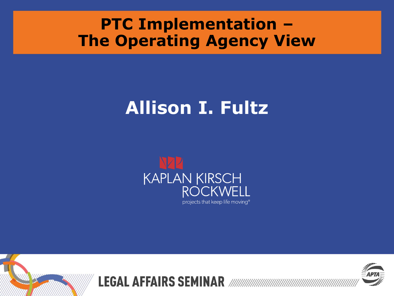### **PTC Implementation – The Operating Agency View**

# **Allison I. Fultz**



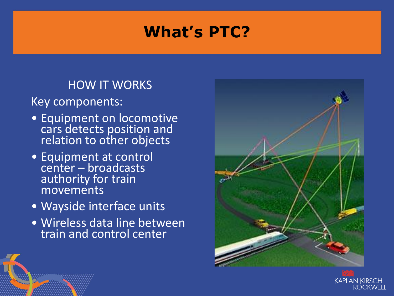# **What's PTC?**

#### HOW IT WORKS

Key components:

- Equipment on locomotive cars detects position and relation to other objects
- Equipment at control center – broadcasts authority for train movements
- Wayside interface units
- Wireless data line between train and control center



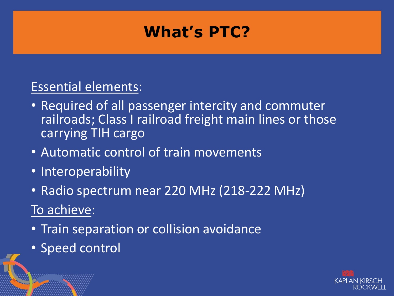### **What's PTC?**

#### Essential elements:

- Required of all passenger intercity and commuter railroads; Class I railroad freight main lines or those carrying TIH cargo
- Automatic control of train movements
- Interoperability
- Radio spectrum near 220 MHz (218-222 MHz) To achieve:
- Train separation or collision avoidance
- Speed control

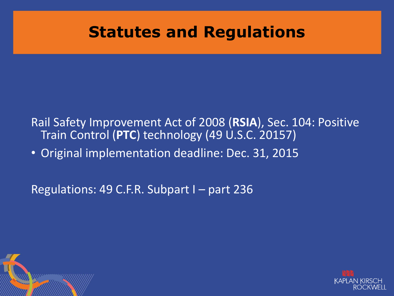#### **Statutes and Regulations**

Rail Safety Improvement Act of 2008 (**RSIA**), Sec. 104: Positive Train Control (**PTC**) technology (49 U.S.C. 20157)

• Original implementation deadline: Dec. 31, 2015

Regulations: 49 C.F.R. Subpart I – part 236



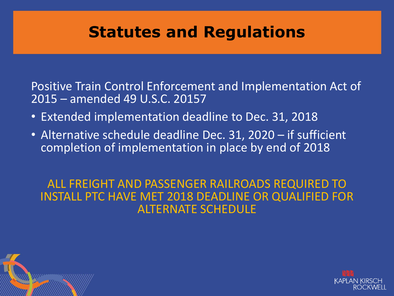### **Statutes and Regulations**

Positive Train Control Enforcement and Implementation Act of 2015 – amended 49 U.S.C. 20157

- Extended implementation deadline to Dec. 31, 2018
- Alternative schedule deadline Dec. 31, 2020 if sufficient completion of implementation in place by end of 2018

#### ALL FREIGHT AND PASSENGER RAILROADS REQUIRED TO INSTALL PTC HAVE MET 2018 DEADLINE OR QUALIFIED FOR ALTERNATE SCHEDULE



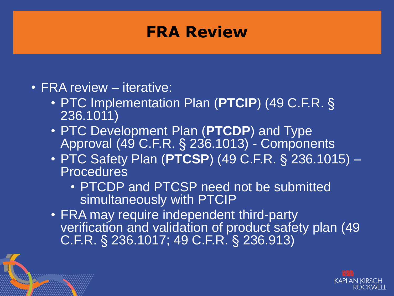#### **FRA Review**

- FRA review iterative:
	- PTC Implementation Plan (**PTCIP**) (49 C.F.R. § 236.1011)
	- PTC Development Plan (**PTCDP**) and Type Approval (49 C.F.R. § 236.1013) - Components
	- PTC Safety Plan (**PTCSP**) (49 C.F.R. § 236.1015) **Procedures** 
		- PTCDP and PTCSP need not be submitted simultaneously with PTCIP
	- FRA may require independent third-party verification and validation of product safety plan (49 C.F.R. § 236.1017; 49 C.F.R. § 236.913)

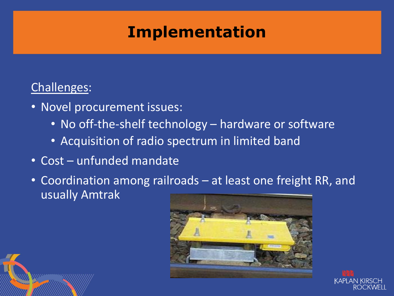# **Implementation**

#### Challenges:

- Novel procurement issues:
	- No off-the-shelf technology hardware or software
	- Acquisition of radio spectrum in limited band
- Cost unfunded mandate
- Coordination among railroads at least one freight RR, and usually Amtrak



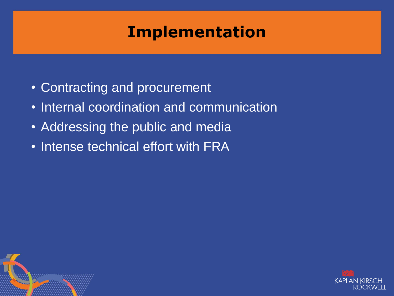# **Implementation**

- Contracting and procurement
- Internal coordination and communication
- Addressing the public and media
- Intense technical effort with FRA



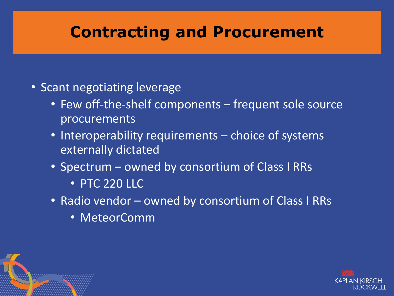### **Contracting and Procurement**

- Scant negotiating leverage
	- Few off-the-shelf components frequent sole source procurements
	- Interoperability requirements choice of systems externally dictated
	- Spectrum owned by consortium of Class I RRs
		- PTC 220 LLC
	- Radio vendor owned by consortium of Class I RRs
		- MeteorComm



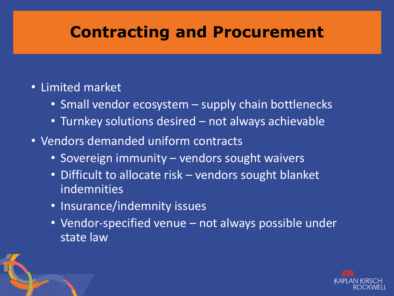### **Contracting and Procurement**

#### • Limited market

- Small vendor ecosystem supply chain bottlenecks
- Turnkey solutions desired not always achievable
- Vendors demanded uniform contracts
	- Sovereign immunity vendors sought waivers
	- Difficult to allocate risk vendors sought blanket indemnities
	- Insurance/indemnity issues
	- Vendor-specified venue not always possible under state law

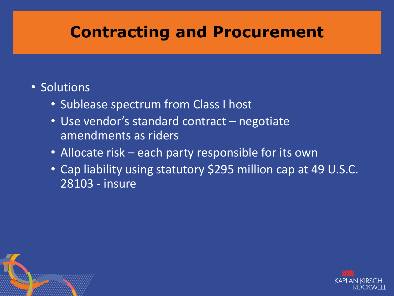### **Contracting and Procurement**

#### • Solutions

- Sublease spectrum from Class I host
- Use vendor's standard contract negotiate amendments as riders
- Allocate risk each party responsible for its own
- Cap liability using statutory \$295 million cap at 49 U.S.C. 28103 - insure



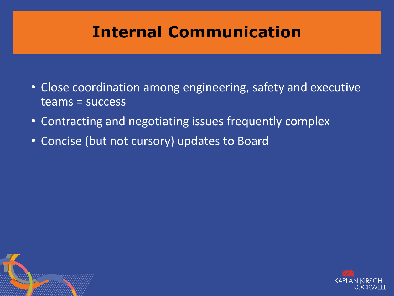# **Internal Communication**

- Close coordination among engineering, safety and executive teams = success
- Contracting and negotiating issues frequently complex
- Concise (but not cursory) updates to Board



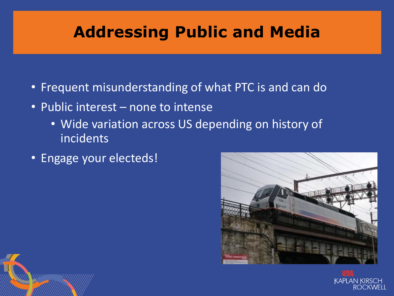# **Addressing Public and Media**

- Frequent misunderstanding of what PTC is and can do
- Public interest none to intense
	- Wide variation across US depending on history of incidents
- Engage your electeds!





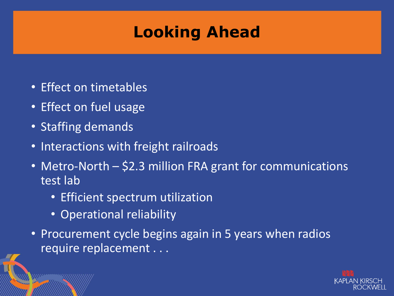# **Looking Ahead**

- Effect on timetables
- Effect on fuel usage
- Staffing demands
- Interactions with freight railroads
- Metro-North \$2.3 million FRA grant for communications test lab
	- Efficient spectrum utilization
	- Operational reliability
- Procurement cycle begins again in 5 years when radios require replacement . . .